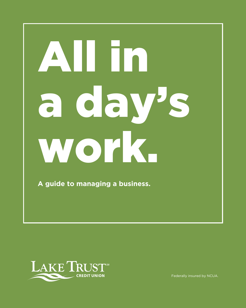# All in a day's work.

**A guide to managing a business.**



Federally insured by NCUA.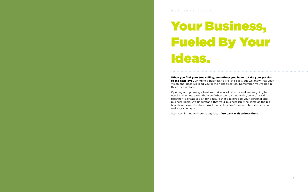When you find your true calling, sometimes you have to take your passion to the next level. Bringing a business to life isn't easy, but we know that your vision and ideas will lead you in the right direction. Remember, you're not in this process alone.

Opening and growing a business takes a lot of work and you're going to need a little help along the way. When we team up with you, we'll work together to create a plan for a future that's tailored to your personal and business goals. We understand that your business isn't the same as the big box store down the street. And that's okay. We're more interested in what makes you unique.

Start coming up with some big ideas. We can't wait to hear them.



# Your Business, Fueled By Your Ideas.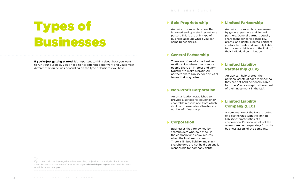### ▶ Limited Partnership

# Types of Businesses

If you're just getting started, it's important to think about how you want to run your business. You'll need to file different paperwork and you'll meet different tax guidelines depending on the type of business you have.

#### ▶ Sole Proprietorship

An unincorporated business that is owned and operated by just one person. This is the only type of business account where you can name beneficiaries.

#### General Partnership

These are often informal business relationships where two or more people share an interest and work together to make a profit. All partners share liability for any legal issues that may arise.

#### ▶ Non-Profit Corporation

### ▶ Limited Liability Partnership (LLP)

An organization established to provide a service for educational/ charitable reasons and from which its directors/members/trustees do not benefit financially.

#### ▶ Corporation

If you need help putting together a business plan, projections, or analysis, check out the Small Business Development Center of Michigan (sbdcmichigan.org) or the Small Business Administration (sba.gov).

Businesses that are owned by shareholders who hold stock in the company and enjoy returns when the business succeeds. There is limited liability, meaning shareholders are not held personally responsible for company debts.

An unincorporated business owned by general partners and limited partners. General partners equally share managerial responsibility, profits, and debts. Limited partners contribute funds and are only liable for business debts up to the limit of their individual contribution.

An LLP can help protect the personal assets of each member so they are not held personally liable for others' acts except to the extent of their investment in the LLP.

### Limited Liability Company (LLC)

A combination of the tax attributes of a partnership with the limited liability characteristics of a corporation. Personal assets of the owners are held separately from the business assets of the company.

#### **Tip**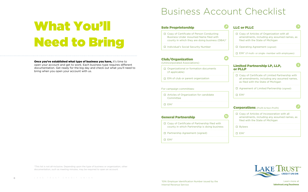What You'll

Need to Bring

**Once you've established what type of business you have, it's time to** open your account and get to work. Each business type requires different documentation. Get ready for the big day and check out what you'll need to

bring when you open your account with us.

\*This list is not all-inclusive. Depending upon the type of business or organization, other documentation, such as meeting minutes, may be required to open an account.

## Business Account Checklist

#### ited Partnership LP, LLP, or PLLP

Copy of Articles of Incorporation with all mendments, including any assumed names, as led with the State of Michigan

| □ Copy of Certificate of Person Conducting<br><b>Business Under Assumed Name filed with</b><br>county in which they are doing business (DBA)* |
|-----------------------------------------------------------------------------------------------------------------------------------------------|
| □ Individual's Social Security Number                                                                                                         |
| <b>Club/Organization</b><br>(Unincorporated Associations)                                                                                     |
| □ Organizational or formation documents<br>(if applicable)                                                                                    |
| $\Box$ EIN of club or parent organization                                                                                                     |
|                                                                                                                                               |
| For campaign committees:                                                                                                                      |
| □ Articles of Organization for candidate<br>Committee                                                                                         |
| $\square$ EIN*                                                                                                                                |
| <b>General Partnership</b>                                                                                                                    |
| □ Copy of Certificate of Partnership filed with<br>county in which Partnership is doing business                                              |
| □ Partnership Agreement (signed)                                                                                                              |

| <b>LLC or PLLC</b>                                                                                                                  |  |
|-------------------------------------------------------------------------------------------------------------------------------------|--|
| $\Box$ Copy of Articles of Organization with all<br>amendments, including any assumed names, as<br>filed with the State of Michigan |  |
| $\Box$ Operating Agreement (signed)                                                                                                 |  |
| $\Box$ EIN <sup>*</sup> (if multi- or single- member with employees)                                                                |  |
|                                                                                                                                     |  |

| Copy of Certificate of Limited Partnership with<br>all amendments, including any assumed names,<br>as filed with the State of Michigan |
|----------------------------------------------------------------------------------------------------------------------------------------|
| Agreement of Limited Partnership (signed)<br>.                                                                                         |
| FIN*                                                                                                                                   |

#### **Corations** (Profit & Non-Profit)



Bylaws

EIN\*



Learn more at laketrust.org/business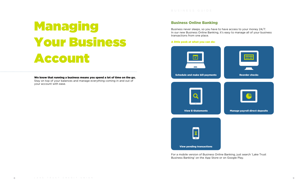# Managing Your Business Account

We know that running a business means you spend a lot of time on the go. Stay on top of your balances and manage everything coming in and out of your account with ease.

### Business Online Banking

Business never sleeps, so you have to have access to your money 24/7. In our new Business Online Banking, it's easy to manage all of your business transactions from one place.

#### A little peek at what you can do:

For a mobile version of Business Online Banking, just search 'Lake Trust Business Banking' on the App Store or on Google Play.

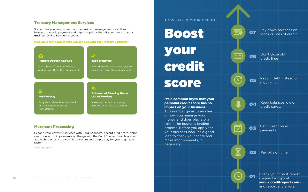#### Treasury Management Services

Sometimes you need more than the basics to manage your cash flow. Now you can add payment and deposit options that fit your needs to your Business Online Banking account.

#### Here are a few goodies that you can add with our Treasury Solutions\*:



07 Pay down balances on loans or lines of credit.

#### Merchant Processing

Expand your payment services with Card Connect\*. Accept credit card, debit card, or electronic payments on the go with the Card Connect mobile app or at the shop on any browser. It's a secure and simple way for you to get paid faster.

\*Fees may apply.

Check your credit report (request a copy at annualcreditreport.com) and report any errors. 01

Boost your credit score

> 04 Keep balances low on credit cards.

 $\overline{\text{O3}}$  Get current on all payments.

 $\vert$  Pay bills on time.

Don't close old  $\begin{bmatrix} \begin{matrix} \begin{matrix} 0 \\ -1 \end{matrix} \end{matrix} \end{bmatrix}$ 06 credit lines.

Eò

 $\blacksquare$ A 05 Pay off debt instead of moving it.

#### HOW TO FIX YOUR CREDIT

#### It's a common myth that your personal credit score has no impact on your business.

This number gives us an idea of how you manage your money and does play a big role in the business lending process. Before you apply for your business loan, it's a good idea to check your score and make improvements, if necessary.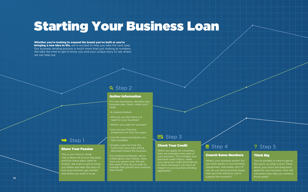# Starting Your Business Loan

#### Whether you're looking to expand the brand you've built or you're

**bringing a new idea to life,** we're excited to help you take the next step. Our business lending process is much more than just looking at numbers. We take the time to get to know you and your unique story to see where we can help out.

### **Q** Step 2

#### Think Big

You've worked so hard to get to this point, so what's next? Think about your short and long term goals for your business. How will a business loan help you achieve those goals?

This is your time to shine! Tell us about all of your big plans and how these plans came to fruition. We want to get to know you better and hear the story of how your business got started and where you want it to go.

#### Gather Information

- For new businesses, develop your business plan. Here's what you'll need:
- •A market analysis
- •Why do you feel there is a need for your business?
- •What's your plan for success?
- •List out your financial projections for first two years
- •List the resources/equity you have available
- Share Your Passion **State of the Step 5** Step 5 Step 4 Step 5 Step 5 Step 5 Step 5 Step 5 Step 5 Step 5 Step 5 Step 5 Step 5 Step 5 Step 5 Step 5 Step 5 Step 5 Step 5 Step 5 Step 5 Step 5 Step 5 Step 5 Step 5 Step 5 Step 5 •Create a plan for how the funds from your loan will be allocated toward the business
	- For existing businesses, tell us a little about your history. How have you grown over the last few years? How do you plan to manage that growth and continue that trend?

### Eo Step 3

#### Check Your Credit

When you apply for a business loan, we evaluate every part of your business. This includes your personal credit history. Keep your personal credit and finances in check because it can have an impact on your business lending application.

### **E** Step 4

#### Crunch Some Numbers

What's your business worth? Do you have equity in your business (equipment, real estate, etc)? If not, do you have personal equity that you'd be willing to use to support the business?

### $\blacktriangleright$  Step 1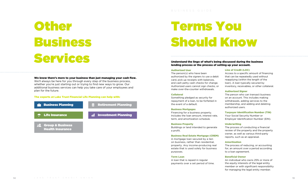

# **Other** Business Services

#### We know there's more to your business than just managing your cash flow.

We'll always be here for you through every step of the business process, whether you're just starting out or trying to find new ways to grow. Our additional business services can help you take care of your employees and plan for the future.

#### The experts at Lake Trust Financial Life Planning can help with:

#### Understand the lingo of what's being discussed during the business lending process or the process of setting up your account.

#### Authorized User

The person(s) who have been authorized by the signers to use a debit card, pick up receipts with balances, and cash petty cash checks for change. Authorized users cannot sign checks, or make over-the-counter withdrawals.

#### **Collateral**

Something pledged as security for repayment of a loan, to be forfeited in the event of a default.

#### Business Mortgages

Financing for a business property. Includes the loan amount, interest rate, term, and amortization schedule.

#### Business Property

Buildings or land intended to generate a profit.

#### Business Real Estate Mortgage (CREM)

A mortgage loan secured by a lien on business, rather than residential, property. Any income-producing real estate that is used solely for business purposes.

#### Term Loan

A loan that is repaid in regular payments over a set period of time.

#### Line of Credit (LOC)

Access to a specific amount of financing that can be repeatedly used without reapplying (within the length of the loan). A loan typically secured by inventory, receivables, or other collateral.

#### Authorized Signer

The person who can transact business on an account. This includes making withdrawals, adding services to the membership, and adding and deleting authorized users.

#### Taxpayer Identification Number (TIN)

Your Social Security Number or Employer Identification Number (EIN).

#### Underwriting

The process of conducting a financial review of the property and the property owner, as well as various third-party reports, such as an appraisal.

#### Amortization

The process of reducing, or accounting for, an amount over a period according to a loan agreement.

#### Beneficial Owner

An individual who owns 25% or more of the equity interests of the legal entity member or with significant responsibility for managing the legal entity member.

# Terms You Should Know

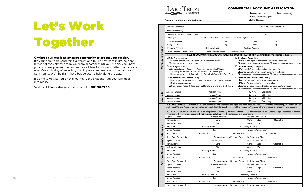|  |  | LAKE TRUST CREDIT UNION |  |  |  |  |  |  |  |  |  |
|--|--|-------------------------|--|--|--|--|--|--|--|--|--|
|  |  |                         |  |  |  |  |  |  |  |  |  |

#### Owning a business is an amazing opportunity to act out your passion.

It's your time to do something different and take a new path in life, so don't let fear of the unknown stop you from accomplishing your vision. You know your business plan and understand your ideas for success better than anyone else. Keep thinking of ways to grow, improve, and make an impact on your community. We'll be right there beside you to help along the way.

It's time to get started on this journey. Let's chat and turn your big ideas into reality.

Visit us at laketrust.org or give us a call at 517.267.7200.



# Let's Work Together

| Name of Company:                                                                                     |                                                         | Date Company Established:                                                                                                                                                                                                                                                                                                                                                                                                                                    |
|------------------------------------------------------------------------------------------------------|---------------------------------------------------------|--------------------------------------------------------------------------------------------------------------------------------------------------------------------------------------------------------------------------------------------------------------------------------------------------------------------------------------------------------------------------------------------------------------------------------------------------------------|
| Assumed Name(s):                                                                                     |                                                         |                                                                                                                                                                                                                                                                                                                                                                                                                                                              |
| Eligibility - Company Office Located in:                                                             |                                                         | County                                                                                                                                                                                                                                                                                                                                                                                                                                                       |
| EIN (required):                                                                                      | or SSN (ONLY DBA or Sole Member LLC with no Employees): |                                                                                                                                                                                                                                                                                                                                                                                                                                                              |
| Company Address:                                                                                     | City:                                                   | State:<br>Zip:                                                                                                                                                                                                                                                                                                                                                                                                                                               |
| <b>Mailing Address:</b>                                                                              | City:                                                   | State:<br>Zip:                                                                                                                                                                                                                                                                                                                                                                                                                                               |
| Company Phone #:                                                                                     | Company Fax #:                                          | <b>Website Address:</b>                                                                                                                                                                                                                                                                                                                                                                                                                                      |
| Online Banking: □Yes □No                                                                             | Online Banking Admin (Account Owner Only):              |                                                                                                                                                                                                                                                                                                                                                                                                                                                              |
|                                                                                                      |                                                         | SELECT COMPANY TYPE & OBTAIN REQUIRED DOCUMENTATION ( EIN Documentation Preferred for all Types):                                                                                                                                                                                                                                                                                                                                                            |
| □Sole Proprietorship:                                                                                |                                                         | □Candidate Committee:                                                                                                                                                                                                                                                                                                                                                                                                                                        |
| <b>Q</b> Current Person doing Business Under Assumed Name (DBA)                                      |                                                         | □ Articles of Organization for the Candidate Committee                                                                                                                                                                                                                                                                                                                                                                                                       |
| □Commercial Account Resolution<br><b>QClub/Organization:</b>                                         |                                                         | $\Box$ Commercial Account Resolution $\Box$ Beneficial Ownership Cert. Form<br><b>QLimited Liability Company:</b>                                                                                                                                                                                                                                                                                                                                            |
| □ Organizational or Formation Document, or Meeting Minutes                                           |                                                         | Articles of Organization and all amendments                                                                                                                                                                                                                                                                                                                                                                                                                  |
| outlining who is able to transact on behalf of the company                                           |                                                         | □ Signed Operating Agreement outlining member(s)                                                                                                                                                                                                                                                                                                                                                                                                             |
| $\Box$ Commercial Account Resolution $\Box$ Beneficial Ownership Cert. Form                          |                                                         | $\Box$ Commercial Account Resolution $\Box$ Beneficial Ownership Cert. Form                                                                                                                                                                                                                                                                                                                                                                                  |
| □Partnership/Limited Partnership:                                                                    |                                                         | □Corporations (Profit & Non-Profit)                                                                                                                                                                                                                                                                                                                                                                                                                          |
| □ Certificate of Partnership or Limited Partnership & all amendments                                 |                                                         | $\Box$ Articles of Incorporation & all amendments                                                                                                                                                                                                                                                                                                                                                                                                            |
| <b>Partnership Agreement</b><br>□ Commercial Account Resolution □ Beneficial Ownership Cert. Form    |                                                         | $\Box$ Signed Bylaws outlining company roles<br>□Signed Meeting Minutes Electing Director and/or Officers                                                                                                                                                                                                                                                                                                                                                    |
|                                                                                                      |                                                         | $\Box$ Commercial Account Resolution $\Box$ Beneficial Ownership Cert. Form                                                                                                                                                                                                                                                                                                                                                                                  |
| Account Number:                                                                                      | Account Type:                                           | $\Box$ New<br>$\Box$ Existing                                                                                                                                                                                                                                                                                                                                                                                                                                |
| Account Number:                                                                                      | Account Type:                                           | $\Box$ New<br>$\Box$ Existing                                                                                                                                                                                                                                                                                                                                                                                                                                |
| Account Number:                                                                                      | Account Type:                                           | $\Box$ New<br>$\Box$ Existing                                                                                                                                                                                                                                                                                                                                                                                                                                |
| Account Number:                                                                                      | Account Type:                                           | $\Box$ New<br>$\Box$ Existing                                                                                                                                                                                                                                                                                                                                                                                                                                |
| information. The Authorized Signer will not be personally liable for the obligations of the company. |                                                         | ACCOUNT OWNERS: An individual who can perform all monetary functions, open and close accounts, add services to the membership, and delete or add<br>Authorized Signers. Account Owners will be personally liable for the obligations of the company. An Account Owner must be on all commercial accounts.<br>AUTHORIZED SIGNERS: An individual who can perform all monetary functions, add services to the membership, and update company address or contact |
| Signer (1) Name:                                                                                     | Social Security #:                                      | Driver's License/ID #:                                                                                                                                                                                                                                                                                                                                                                                                                                       |
| Home Address:                                                                                        | City:                                                   | State:<br>Zip:<br>Citizenship:                                                                                                                                                                                                                                                                                                                                                                                                                               |
| Mailing Address:                                                                                     | City:                                                   | State:<br>Zip:                                                                                                                                                                                                                                                                                                                                                                                                                                               |
| Birth Date:<br>Primary Phone #:                                                                      |                                                         | Secondary Phone #:                                                                                                                                                                                                                                                                                                                                                                                                                                           |
| E-mail Address:                                                                                      | Title:                                                  | Employer/Occupation:                                                                                                                                                                                                                                                                                                                                                                                                                                         |
| Account #2:<br>Account # 1:                                                                          |                                                         | Account $#3$ :<br>Account $#4$ :                                                                                                                                                                                                                                                                                                                                                                                                                             |
| Debit Card Ordered: □                                                                                | This person is: Account Owner                           | Authorized Signer                                                                                                                                                                                                                                                                                                                                                                                                                                            |
| Signer (2) Name:                                                                                     | Social Security#:                                       | Driver's License/ID #:                                                                                                                                                                                                                                                                                                                                                                                                                                       |
| Home Address:                                                                                        | City:                                                   | State:<br>Zip:<br>Citizenship:                                                                                                                                                                                                                                                                                                                                                                                                                               |
| Mailing Address:                                                                                     | City:                                                   | State:<br>Zip:                                                                                                                                                                                                                                                                                                                                                                                                                                               |
| Primary Phone #:<br>Birth Date:                                                                      |                                                         | Secondary Phone #:                                                                                                                                                                                                                                                                                                                                                                                                                                           |
| E-mail Address:                                                                                      | Title:                                                  | Employer/Occupation:                                                                                                                                                                                                                                                                                                                                                                                                                                         |
| Account #2:<br>Account #1:                                                                           |                                                         | Account #3:<br>Account #4:                                                                                                                                                                                                                                                                                                                                                                                                                                   |
| Debit Card Ordered: $\square$                                                                        | This person is: Account Owner                           | Authorized Signer                                                                                                                                                                                                                                                                                                                                                                                                                                            |
| Signer (3) Name:                                                                                     | Social Security #:                                      | Driver's License/ID #:                                                                                                                                                                                                                                                                                                                                                                                                                                       |
| Home Address:                                                                                        | City:                                                   | State:<br>Zip:<br>Citizenship:                                                                                                                                                                                                                                                                                                                                                                                                                               |
| Mailing Address:                                                                                     | City:                                                   | State:<br>Zip:                                                                                                                                                                                                                                                                                                                                                                                                                                               |
| Primary Phone #:<br>Birth Date:                                                                      |                                                         | Secondary Phone #:                                                                                                                                                                                                                                                                                                                                                                                                                                           |
| E-mail Address:                                                                                      | Title:                                                  | Employer/Occupation:                                                                                                                                                                                                                                                                                                                                                                                                                                         |
| Account # 1:<br>Account # 2:                                                                         |                                                         | Account #3:<br>Account #4:                                                                                                                                                                                                                                                                                                                                                                                                                                   |
| Debit Card Ordered: $\square$                                                                        | This person is: Account Owner                           | Authorized Signer                                                                                                                                                                                                                                                                                                                                                                                                                                            |
|                                                                                                      |                                                         |                                                                                                                                                                                                                                                                                                                                                                                                                                                              |

|                                      | LAKE I RUSI<br><b>CREDIT UNION</b>                                                                                                                                                                                                                                                                                                                                                                                                                                                                                                                                                       |                                                                                                   |                               | IAL AVVUUN I AF                                                                                      |                 |                                                                   |
|--------------------------------------|------------------------------------------------------------------------------------------------------------------------------------------------------------------------------------------------------------------------------------------------------------------------------------------------------------------------------------------------------------------------------------------------------------------------------------------------------------------------------------------------------------------------------------------------------------------------------------------|---------------------------------------------------------------------------------------------------|-------------------------------|------------------------------------------------------------------------------------------------------|-----------------|-------------------------------------------------------------------|
|                                      | Commercial Membership Savings #                                                                                                                                                                                                                                                                                                                                                                                                                                                                                                                                                          |                                                                                                   |                               | $\Box$ New Membership<br>□Change Owners/Signers                                                      |                 | $\Box$ New Account(s)                                             |
|                                      | Name of Company:                                                                                                                                                                                                                                                                                                                                                                                                                                                                                                                                                                         |                                                                                                   |                               |                                                                                                      |                 | Date Company Established:                                         |
|                                      | Assumed Name(s):                                                                                                                                                                                                                                                                                                                                                                                                                                                                                                                                                                         |                                                                                                   |                               |                                                                                                      |                 |                                                                   |
|                                      | Eligibility - Company Office Located in:                                                                                                                                                                                                                                                                                                                                                                                                                                                                                                                                                 |                                                                                                   |                               |                                                                                                      | County          |                                                                   |
|                                      | EIN (required):                                                                                                                                                                                                                                                                                                                                                                                                                                                                                                                                                                          | or SSN (ONLY DBA or Sole Member LLC with no Employees):                                           |                               |                                                                                                      |                 |                                                                   |
|                                      | Company Address:                                                                                                                                                                                                                                                                                                                                                                                                                                                                                                                                                                         |                                                                                                   | City:                         | State:                                                                                               |                 | Zip:                                                              |
|                                      | Mailing Address:                                                                                                                                                                                                                                                                                                                                                                                                                                                                                                                                                                         |                                                                                                   | City:                         | State:                                                                                               |                 | Zip:                                                              |
|                                      | Company Phone #:                                                                                                                                                                                                                                                                                                                                                                                                                                                                                                                                                                         | Company Fax #:                                                                                    |                               | Website Address:                                                                                     |                 |                                                                   |
| Company Information                  | Online Banking: □Yes □No                                                                                                                                                                                                                                                                                                                                                                                                                                                                                                                                                                 | Online Banking Admin (Account Owner Only):                                                        |                               |                                                                                                      |                 |                                                                   |
|                                      |                                                                                                                                                                                                                                                                                                                                                                                                                                                                                                                                                                                          | SELECT COMPANY TYPE & OBTAIN REQUIRED DOCUMENTATION ( EIN Documentation Preferred for all Types): |                               |                                                                                                      |                 |                                                                   |
|                                      | □Sole Proprietorship:                                                                                                                                                                                                                                                                                                                                                                                                                                                                                                                                                                    |                                                                                                   |                               | <b>OCandidate Committee:</b>                                                                         |                 |                                                                   |
|                                      | <b>Q</b> Current Person doing Business Under Assumed Name (DBA)                                                                                                                                                                                                                                                                                                                                                                                                                                                                                                                          |                                                                                                   |                               | □ Articles of Organization for the Candidate Committee                                               |                 |                                                                   |
|                                      | □Commercial Account Resolution                                                                                                                                                                                                                                                                                                                                                                                                                                                                                                                                                           |                                                                                                   |                               |                                                                                                      |                 | □ Commercial Account Resolution □ Beneficial Ownership Cert. Forr |
|                                      | <b>QClub/Organization:</b><br>Organizational or Formation Document, or Meeting Minutes                                                                                                                                                                                                                                                                                                                                                                                                                                                                                                   |                                                                                                   |                               | <b>QLimited Liability Company:</b><br>Articles of Organization and all amendments                    |                 |                                                                   |
|                                      |                                                                                                                                                                                                                                                                                                                                                                                                                                                                                                                                                                                          | outlining who is able to transact on behalf of the company                                        |                               | □ Signed Operating Agreement outlining member(s)                                                     |                 |                                                                   |
|                                      | □ Commercial Account Resolution □ Beneficial Ownership Cert. Form                                                                                                                                                                                                                                                                                                                                                                                                                                                                                                                        |                                                                                                   |                               |                                                                                                      |                 | □ Commercial Account Resolution □ Beneficial Ownership Cert. Forr |
|                                      | □Partnership/Limited Partnership:                                                                                                                                                                                                                                                                                                                                                                                                                                                                                                                                                        |                                                                                                   |                               | □Corporations (Profit & Non-Profit)                                                                  |                 |                                                                   |
|                                      | □ Certificate of Partnership or Limited Partnership & all amendments                                                                                                                                                                                                                                                                                                                                                                                                                                                                                                                     |                                                                                                   |                               | □ Articles of Incorporation & all amendments                                                         |                 |                                                                   |
|                                      | Partnership Agreement<br>□ Commercial Account Resolution □ Beneficial Ownership Cert. Form                                                                                                                                                                                                                                                                                                                                                                                                                                                                                               |                                                                                                   |                               | □ Signed Bylaws outlining company roles<br>□Signed Meeting Minutes Electing Director and/or Officers |                 |                                                                   |
|                                      |                                                                                                                                                                                                                                                                                                                                                                                                                                                                                                                                                                                          |                                                                                                   |                               |                                                                                                      |                 | □ Commercial Account Resolution □ Beneficial Ownership Cert. Forr |
|                                      | Account Number:                                                                                                                                                                                                                                                                                                                                                                                                                                                                                                                                                                          | Account Type:                                                                                     |                               | $\Box$ New                                                                                           | $\Box$ Existing |                                                                   |
| Accounts                             | Account Number:                                                                                                                                                                                                                                                                                                                                                                                                                                                                                                                                                                          | Account Type:                                                                                     |                               | $\Box$ New                                                                                           | $\Box$ Existing |                                                                   |
|                                      | Account Number:                                                                                                                                                                                                                                                                                                                                                                                                                                                                                                                                                                          | Account Type:                                                                                     |                               | $\Box$ New                                                                                           | $\Box$ Existing |                                                                   |
|                                      | Account Number:                                                                                                                                                                                                                                                                                                                                                                                                                                                                                                                                                                          | Account Type:                                                                                     |                               | $\Box$ New                                                                                           | $\Box$ Existing |                                                                   |
|                                      | ACCOUNT OWNERS: An individual who can perform all monetary functions, open and close accounts, add services to the membership, and delete or add<br>Authorized Signers. Account Owners will be personally liable for the obligations of the company. An Account Owner must be on all commercial accounts.<br>AUTHORIZED SIGNERS: An individual who can perform all monetary functions, add services to the membership, and update company address or contact<br>information. The Authorized Signer will not be personally liable for the obligations of the company.<br>Signer (1) Name: | Social Security #:                                                                                |                               | Driver's License/ID #:                                                                               |                 |                                                                   |
|                                      | Home Address:                                                                                                                                                                                                                                                                                                                                                                                                                                                                                                                                                                            | City:                                                                                             |                               | State:<br>Zip:                                                                                       |                 | Citizenship:                                                      |
|                                      | Mailing Address:                                                                                                                                                                                                                                                                                                                                                                                                                                                                                                                                                                         | City:                                                                                             |                               | State:<br>Zip:                                                                                       |                 |                                                                   |
| δ                                    | Birth Date:                                                                                                                                                                                                                                                                                                                                                                                                                                                                                                                                                                              | Primary Phone #:                                                                                  |                               | Secondary Phone #:                                                                                   |                 |                                                                   |
|                                      | E-mail Address:                                                                                                                                                                                                                                                                                                                                                                                                                                                                                                                                                                          | Title:                                                                                            |                               | Employer/Occupation:                                                                                 |                 |                                                                   |
|                                      | Account #1:                                                                                                                                                                                                                                                                                                                                                                                                                                                                                                                                                                              | Account # 2:                                                                                      | Account #3:                   |                                                                                                      | Account #4:     |                                                                   |
|                                      | Debit Card Ordered: □                                                                                                                                                                                                                                                                                                                                                                                                                                                                                                                                                                    |                                                                                                   | This person is: Account Owner | Authorized Signer                                                                                    |                 |                                                                   |
|                                      | Signer (2) Name:                                                                                                                                                                                                                                                                                                                                                                                                                                                                                                                                                                         | Social Security#:                                                                                 |                               | Driver's License/ID #:                                                                               |                 |                                                                   |
|                                      | Home Address:                                                                                                                                                                                                                                                                                                                                                                                                                                                                                                                                                                            | City:                                                                                             |                               | State:<br>Zip:                                                                                       |                 | Citizenship:                                                      |
|                                      | Mailing Address:                                                                                                                                                                                                                                                                                                                                                                                                                                                                                                                                                                         | City:                                                                                             |                               | Zip:<br>State:                                                                                       |                 |                                                                   |
|                                      | Birth Date:                                                                                                                                                                                                                                                                                                                                                                                                                                                                                                                                                                              | Primary Phone #:                                                                                  |                               | Secondary Phone #:                                                                                   |                 |                                                                   |
|                                      | E-mail Address:                                                                                                                                                                                                                                                                                                                                                                                                                                                                                                                                                                          | Title:                                                                                            |                               | Employer/Occupation:                                                                                 |                 |                                                                   |
|                                      | Account #1:                                                                                                                                                                                                                                                                                                                                                                                                                                                                                                                                                                              | Account # 2:                                                                                      | Account #3:                   |                                                                                                      | Account #4:     |                                                                   |
| Authorized Owner/Signer(s) Informati | Debit Card Ordered: U                                                                                                                                                                                                                                                                                                                                                                                                                                                                                                                                                                    |                                                                                                   | This person is: Account Owner | Authorized Signer                                                                                    |                 |                                                                   |
|                                      | Signer (3) Name:                                                                                                                                                                                                                                                                                                                                                                                                                                                                                                                                                                         | Social Security#:                                                                                 |                               | Driver's License/ID #:                                                                               |                 |                                                                   |

### I A KE TRI IST **COMMERCIAL ACCOUNT APPLICATION**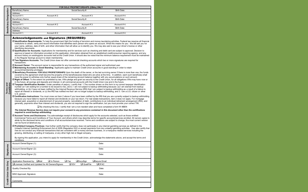|                                 |                                                                                                                                                                                                                                                                                                                                                                                                                                                                                                                                                                                                                                                                                                                                                                                                                                                                                                                                                                                                                                                                                                                                                                                                                                                                                                                                                                                                                                                                                                                                                                                                                                                                                                                                                                                                                                                                                                                                                                                                                                                                                                                                                                                                                                                                                                                                                                                                                                                                                                                                                                                                                                                                                                                                                                                                                                                                                                                                                                                                                                                                                                                                                                                                                                                                                                                                                                                                                                                                                                                                                                                                                                                                                                                                                                                                                                                                                                                                                                                                                                                                                                                                                                                                                                                                                                                                                                                                                                                                                                                                                                                                                                                                                                                                                                                                                                                                                                                                                                         | FOR SOLE PROPRIETORSHIPS (DBAs) ONLY                                                                                |             |
|---------------------------------|-------------------------------------------------------------------------------------------------------------------------------------------------------------------------------------------------------------------------------------------------------------------------------------------------------------------------------------------------------------------------------------------------------------------------------------------------------------------------------------------------------------------------------------------------------------------------------------------------------------------------------------------------------------------------------------------------------------------------------------------------------------------------------------------------------------------------------------------------------------------------------------------------------------------------------------------------------------------------------------------------------------------------------------------------------------------------------------------------------------------------------------------------------------------------------------------------------------------------------------------------------------------------------------------------------------------------------------------------------------------------------------------------------------------------------------------------------------------------------------------------------------------------------------------------------------------------------------------------------------------------------------------------------------------------------------------------------------------------------------------------------------------------------------------------------------------------------------------------------------------------------------------------------------------------------------------------------------------------------------------------------------------------------------------------------------------------------------------------------------------------------------------------------------------------------------------------------------------------------------------------------------------------------------------------------------------------------------------------------------------------------------------------------------------------------------------------------------------------------------------------------------------------------------------------------------------------------------------------------------------------------------------------------------------------------------------------------------------------------------------------------------------------------------------------------------------------------------------------------------------------------------------------------------------------------------------------------------------------------------------------------------------------------------------------------------------------------------------------------------------------------------------------------------------------------------------------------------------------------------------------------------------------------------------------------------------------------------------------------------------------------------------------------------------------------------------------------------------------------------------------------------------------------------------------------------------------------------------------------------------------------------------------------------------------------------------------------------------------------------------------------------------------------------------------------------------------------------------------------------------------------------------------------------------------------------------------------------------------------------------------------------------------------------------------------------------------------------------------------------------------------------------------------------------------------------------------------------------------------------------------------------------------------------------------------------------------------------------------------------------------------------------------------------------------------------------------------------------------------------------------------------------------------------------------------------------------------------------------------------------------------------------------------------------------------------------------------------------------------------------------------------------------------------------------------------------------------------------------------------------------------------------------------------------------------------------------------------------------|---------------------------------------------------------------------------------------------------------------------|-------------|
|                                 | Beneficiary Name:                                                                                                                                                                                                                                                                                                                                                                                                                                                                                                                                                                                                                                                                                                                                                                                                                                                                                                                                                                                                                                                                                                                                                                                                                                                                                                                                                                                                                                                                                                                                                                                                                                                                                                                                                                                                                                                                                                                                                                                                                                                                                                                                                                                                                                                                                                                                                                                                                                                                                                                                                                                                                                                                                                                                                                                                                                                                                                                                                                                                                                                                                                                                                                                                                                                                                                                                                                                                                                                                                                                                                                                                                                                                                                                                                                                                                                                                                                                                                                                                                                                                                                                                                                                                                                                                                                                                                                                                                                                                                                                                                                                                                                                                                                                                                                                                                                                                                                                                                       | Social Security #:                                                                                                  | Birth Date: |
| Beneficiary Designation         | Address:                                                                                                                                                                                                                                                                                                                                                                                                                                                                                                                                                                                                                                                                                                                                                                                                                                                                                                                                                                                                                                                                                                                                                                                                                                                                                                                                                                                                                                                                                                                                                                                                                                                                                                                                                                                                                                                                                                                                                                                                                                                                                                                                                                                                                                                                                                                                                                                                                                                                                                                                                                                                                                                                                                                                                                                                                                                                                                                                                                                                                                                                                                                                                                                                                                                                                                                                                                                                                                                                                                                                                                                                                                                                                                                                                                                                                                                                                                                                                                                                                                                                                                                                                                                                                                                                                                                                                                                                                                                                                                                                                                                                                                                                                                                                                                                                                                                                                                                                                                |                                                                                                                     |             |
|                                 | Account # 1:<br>Account #2:                                                                                                                                                                                                                                                                                                                                                                                                                                                                                                                                                                                                                                                                                                                                                                                                                                                                                                                                                                                                                                                                                                                                                                                                                                                                                                                                                                                                                                                                                                                                                                                                                                                                                                                                                                                                                                                                                                                                                                                                                                                                                                                                                                                                                                                                                                                                                                                                                                                                                                                                                                                                                                                                                                                                                                                                                                                                                                                                                                                                                                                                                                                                                                                                                                                                                                                                                                                                                                                                                                                                                                                                                                                                                                                                                                                                                                                                                                                                                                                                                                                                                                                                                                                                                                                                                                                                                                                                                                                                                                                                                                                                                                                                                                                                                                                                                                                                                                                                             | Account #3:                                                                                                         | Account #4: |
|                                 | Beneficiary Name:<br>Address:                                                                                                                                                                                                                                                                                                                                                                                                                                                                                                                                                                                                                                                                                                                                                                                                                                                                                                                                                                                                                                                                                                                                                                                                                                                                                                                                                                                                                                                                                                                                                                                                                                                                                                                                                                                                                                                                                                                                                                                                                                                                                                                                                                                                                                                                                                                                                                                                                                                                                                                                                                                                                                                                                                                                                                                                                                                                                                                                                                                                                                                                                                                                                                                                                                                                                                                                                                                                                                                                                                                                                                                                                                                                                                                                                                                                                                                                                                                                                                                                                                                                                                                                                                                                                                                                                                                                                                                                                                                                                                                                                                                                                                                                                                                                                                                                                                                                                                                                           | Social Security #:                                                                                                  | Birth Date: |
|                                 | Account #1:<br>Account #2:                                                                                                                                                                                                                                                                                                                                                                                                                                                                                                                                                                                                                                                                                                                                                                                                                                                                                                                                                                                                                                                                                                                                                                                                                                                                                                                                                                                                                                                                                                                                                                                                                                                                                                                                                                                                                                                                                                                                                                                                                                                                                                                                                                                                                                                                                                                                                                                                                                                                                                                                                                                                                                                                                                                                                                                                                                                                                                                                                                                                                                                                                                                                                                                                                                                                                                                                                                                                                                                                                                                                                                                                                                                                                                                                                                                                                                                                                                                                                                                                                                                                                                                                                                                                                                                                                                                                                                                                                                                                                                                                                                                                                                                                                                                                                                                                                                                                                                                                              | Account #3:                                                                                                         | Account #4: |
|                                 | Beneficiary Name:                                                                                                                                                                                                                                                                                                                                                                                                                                                                                                                                                                                                                                                                                                                                                                                                                                                                                                                                                                                                                                                                                                                                                                                                                                                                                                                                                                                                                                                                                                                                                                                                                                                                                                                                                                                                                                                                                                                                                                                                                                                                                                                                                                                                                                                                                                                                                                                                                                                                                                                                                                                                                                                                                                                                                                                                                                                                                                                                                                                                                                                                                                                                                                                                                                                                                                                                                                                                                                                                                                                                                                                                                                                                                                                                                                                                                                                                                                                                                                                                                                                                                                                                                                                                                                                                                                                                                                                                                                                                                                                                                                                                                                                                                                                                                                                                                                                                                                                                                       | Social Security #:                                                                                                  | Birth Date: |
|                                 | Address:<br>Account #1:<br>Account #2:                                                                                                                                                                                                                                                                                                                                                                                                                                                                                                                                                                                                                                                                                                                                                                                                                                                                                                                                                                                                                                                                                                                                                                                                                                                                                                                                                                                                                                                                                                                                                                                                                                                                                                                                                                                                                                                                                                                                                                                                                                                                                                                                                                                                                                                                                                                                                                                                                                                                                                                                                                                                                                                                                                                                                                                                                                                                                                                                                                                                                                                                                                                                                                                                                                                                                                                                                                                                                                                                                                                                                                                                                                                                                                                                                                                                                                                                                                                                                                                                                                                                                                                                                                                                                                                                                                                                                                                                                                                                                                                                                                                                                                                                                                                                                                                                                                                                                                                                  | Account # 3:                                                                                                        | Account #4: |
| Terms and<br>Conditions         | <b>Acknowledgements and Signatures (REQUIRED):</b><br>⊠ Identification Requirements: To help the government fight the funding of terrorism and money laundering activities, Federal law requires all financial<br>institutions to obtain, verify and record information that identifies each person who opens an account. What this means for you: We will ask you for<br>your name, address, date of birth, and other information that will allow us to identify you. We may also ask to see your driver's license or other<br>identifying documents.<br>☑ Qualification for Accounts: Applications for membership and for services such as checking and debit card are subject to approval. Decision to<br>approve is based on information provided on this application, information obtained from an established credit/consumer reporting agency, and any<br>account history on existing/prior accounts held at the Credit Union. It should also be noted that the minimum balance requirement must be maintained<br>in the Regular Savings account to retain membership.<br>⊠ Two Signature Accounts: The Credit Union does not offer commercial checking accounts which two or more signatures are required for<br>transactions.<br>$\boxtimes$ Account Owner: The account owner is responsible for any transactions of the authorized signer and authorized user.<br>☑ Maintaining Accounts in Good Standing. Applicants agree to maintain Credit Union accounts in good standing in order to retain<br>account/membership privileges.<br>⊠ Beneficiary Provisions: FOR SOLE PROPIETORSHIPS Upon the death of the owner, or the last surviving owner if there is more than one, the funds<br>covered by the agreement shall become the property of the beneficiary(ies) listed who are alive at the time. In addition, each such beneficiary shall<br>have the power to withdraw only his/her equal share of the remaining account balance together with any accumulations on such amount.<br>⊠ Right of Offset: To the extent not prohibited by law, I/We pledge and grant as security to the Credit Union, for all obligations I/We may have now or<br>in the future, all savings and deposits and interest, in all commercial accounts with the Credit Union now and in the future.<br>⊠ Taxpayer Identification Number: Under penalties of perjury, I certify that: 1. The number shown on this form is my correct taxpayer identification<br>number (or I am waiting for a number to be issued to me), and 2. I am not subject to backup withholding because: (a) I am exempt from backup<br>withholding, or (b) I have not been notified by the Internal Revenue Service (IRS) that I am subject to backup withholding as a result of a failure to<br>report all interest or dividends, or (c) the IRS has notified me that I am no longer subject to backup withholding, and 3. I am a U.S. citizen or other<br>U.S. person.<br>⊠ Certification Instructions: You must cross out item 2 above if you have been notified by the IRS that you are currently subject to backup withholding<br>because you have failed to report all interest and dividends on your tax return. For real estate transactions, item 2 does not apply. For mortgage<br>interest paid, acquisition or abandonment of secured property, cancellation of debt, contributions to an individual retirement arrangement (IRA), and<br>generally, payments other than interest and dividends, you are not required to sign the certification, but you must provide your correct TIN.<br>The Internal Revenue Service does not require your consent to any provisions contained in this document other than the certifications<br>required to avoid backup withholding.<br>☑ Account Terms and Disclosures: You acknowledge receipt of disclosures which apply for the accounts selected, such as those entitled:<br>Commercial Terms and Conditions of Your Account, and others which may describe terms for specific accounts/services enrolled. All owners agree to<br>abide by the disclosed terms and conditions of all accounts/services received. Terms and conditions are subject to change, the most current version<br>can be found at laketrust.org.<br>$\boxtimes$ Prohibited Company Practices: I/we further certify that the company does not participate in any internet gambling services as defined in the<br>Unlawful Internet Gambling Enforcement Act of 2006 (Regulation GG) or accept payments from any unlawful gambling activities. I/we also certify that<br>I/we do not conduct any financial transactions that are consistent with a money services business, or a marijuana related services including the<br>growing, distributing, or selling of marijuana, or any other high risk or illegal company.<br>By signing this application, you intend to apply for membership in the Credit Union, acknowledge the statements above, and accept the terms and | $\Box$ By checking this box, I certify that I am a non-resident alien and have completed a form W-8BEN              |             |
|                                 | conditions.<br>Account Owner/Signer (1):                                                                                                                                                                                                                                                                                                                                                                                                                                                                                                                                                                                                                                                                                                                                                                                                                                                                                                                                                                                                                                                                                                                                                                                                                                                                                                                                                                                                                                                                                                                                                                                                                                                                                                                                                                                                                                                                                                                                                                                                                                                                                                                                                                                                                                                                                                                                                                                                                                                                                                                                                                                                                                                                                                                                                                                                                                                                                                                                                                                                                                                                                                                                                                                                                                                                                                                                                                                                                                                                                                                                                                                                                                                                                                                                                                                                                                                                                                                                                                                                                                                                                                                                                                                                                                                                                                                                                                                                                                                                                                                                                                                                                                                                                                                                                                                                                                                                                                                                | Date:                                                                                                               |             |
| Signatures                      | Account Owner/Signer (2):                                                                                                                                                                                                                                                                                                                                                                                                                                                                                                                                                                                                                                                                                                                                                                                                                                                                                                                                                                                                                                                                                                                                                                                                                                                                                                                                                                                                                                                                                                                                                                                                                                                                                                                                                                                                                                                                                                                                                                                                                                                                                                                                                                                                                                                                                                                                                                                                                                                                                                                                                                                                                                                                                                                                                                                                                                                                                                                                                                                                                                                                                                                                                                                                                                                                                                                                                                                                                                                                                                                                                                                                                                                                                                                                                                                                                                                                                                                                                                                                                                                                                                                                                                                                                                                                                                                                                                                                                                                                                                                                                                                                                                                                                                                                                                                                                                                                                                                                               | Date:                                                                                                               |             |
|                                 | Account Owner/Signer (3):                                                                                                                                                                                                                                                                                                                                                                                                                                                                                                                                                                                                                                                                                                                                                                                                                                                                                                                                                                                                                                                                                                                                                                                                                                                                                                                                                                                                                                                                                                                                                                                                                                                                                                                                                                                                                                                                                                                                                                                                                                                                                                                                                                                                                                                                                                                                                                                                                                                                                                                                                                                                                                                                                                                                                                                                                                                                                                                                                                                                                                                                                                                                                                                                                                                                                                                                                                                                                                                                                                                                                                                                                                                                                                                                                                                                                                                                                                                                                                                                                                                                                                                                                                                                                                                                                                                                                                                                                                                                                                                                                                                                                                                                                                                                                                                                                                                                                                                                               | Date:                                                                                                               |             |
| Only<br><b>Credit Union Use</b> | Application Received by: Mail<br>$\Box$ In Person<br>Licenses Verified and Updated for All Owners/Signers<br>Quality Checked By:<br>MSO Approved, Signature:<br>Comments:                                                                                                                                                                                                                                                                                                                                                                                                                                                                                                                                                                                                                                                                                                                                                                                                                                                                                                                                                                                                                                                                                                                                                                                                                                                                                                                                                                                                                                                                                                                                                                                                                                                                                                                                                                                                                                                                                                                                                                                                                                                                                                                                                                                                                                                                                                                                                                                                                                                                                                                                                                                                                                                                                                                                                                                                                                                                                                                                                                                                                                                                                                                                                                                                                                                                                                                                                                                                                                                                                                                                                                                                                                                                                                                                                                                                                                                                                                                                                                                                                                                                                                                                                                                                                                                                                                                                                                                                                                                                                                                                                                                                                                                                                                                                                                                               | $\Box$ Fax<br>$\Box$ DocuSign<br><b>□</b> Secure Email<br>$\Box$ IDV<br>OOFAC<br>$\Box$ QualiFile<br>Date:<br>Date: |             |